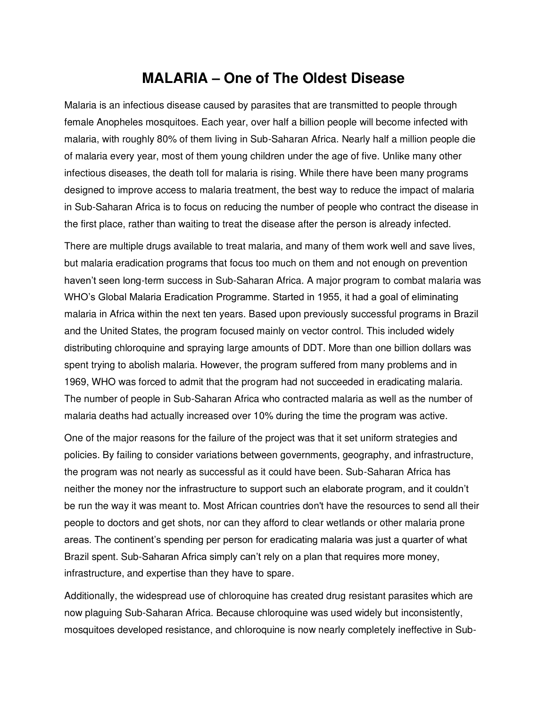## **MALARIA – One of The Oldest Disease**

Malaria is an infectious disease caused by parasites that are transmitted to people through female Anopheles mosquitoes. Each year, over half a billion people will become infected with malaria, with roughly 80% of them living in Sub-Saharan Africa. Nearly half a million people die of malaria every year, most of them young children under the age of five. Unlike many other infectious diseases, the death toll for malaria is rising. While there have been many programs designed to improve access to malaria treatment, the best way to reduce the impact of malaria in Sub-Saharan Africa is to focus on reducing the number of people who contract the disease in the first place, rather than waiting to treat the disease after the person is already infected.

There are multiple drugs available to treat malaria, and many of them work well and save lives, but malaria eradication programs that focus too much on them and not enough on prevention haven't seen long-term success in Sub-Saharan Africa. A major program to combat malaria was WHO's Global Malaria Eradication Programme. Started in 1955, it had a goal of eliminating malaria in Africa within the next ten years. Based upon previously successful programs in Brazil and the United States, the program focused mainly on vector control. This included widely distributing chloroquine and spraying large amounts of DDT. More than one billion dollars was spent trying to abolish malaria. However, the program suffered from many problems and in 1969, WHO was forced to admit that the program had not succeeded in eradicating malaria. The number of people in Sub-Saharan Africa who contracted malaria as well as the number of malaria deaths had actually increased over 10% during the time the program was active.

One of the major reasons for the failure of the project was that it set uniform strategies and policies. By failing to consider variations between governments, geography, and infrastructure, the program was not nearly as successful as it could have been. Sub-Saharan Africa has neither the money nor the infrastructure to support such an elaborate program, and it couldn't be run the way it was meant to. Most African countries don't have the resources to send all their people to doctors and get shots, nor can they afford to clear wetlands or other malaria prone areas. The continent's spending per person for eradicating malaria was just a quarter of what Brazil spent. Sub-Saharan Africa simply can't rely on a plan that requires more money, infrastructure, and expertise than they have to spare.

Additionally, the widespread use of chloroquine has created drug resistant parasites which are now plaguing Sub-Saharan Africa. Because chloroquine was used widely but inconsistently, mosquitoes developed resistance, and chloroquine is now nearly completely ineffective in Sub